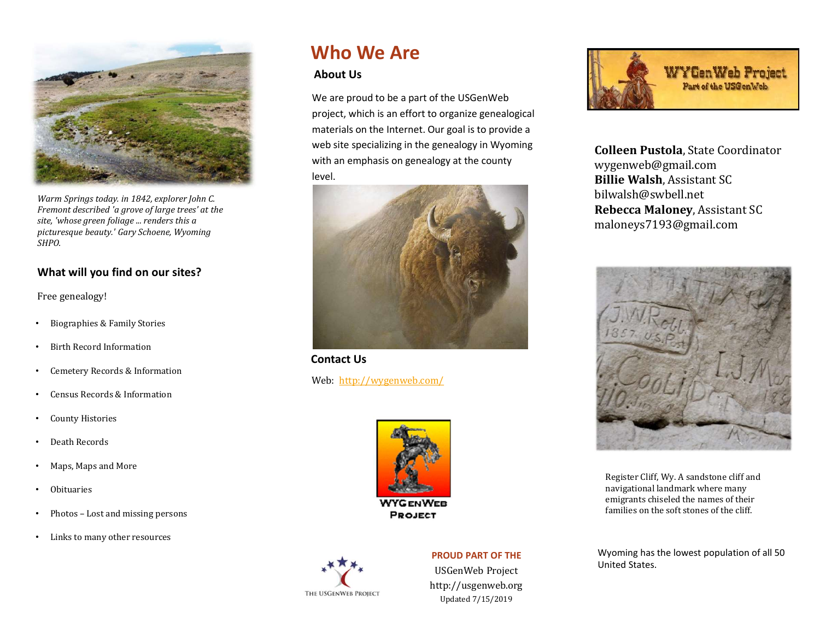

Warm Springs today. in 1842, explorer John C. Fremont described 'a grove of large trees' at the site, 'whose green foliage ... renders this a picturesque beauty.' Gary Schoene, Wyoming SHPO.

### What will you find on our sites?

Free genealogy!

- Biographies & Family Stories
- Birth Record Information
- Cemetery Records & Information
- Census Records & Information
- County Histories
- Death Records
- Maps, Maps and More
- Obituaries
- 
- Links to many other resources

## Who We Are

### About Us

We are proud to be a part of the USGenWeb project, which is an effort to organize genealogical materials on the Internet. Our goal is to provide a web site specializing in the genealogy in Wyoming with an emphasis on genealogy at the county level.



Contact Us

Web: http://wygenweb.com/





### PROUD PART OF THE

USGenWeb Project http://usgenweb.org Updated 7/15/2019



Colleen Pustola, State Coordinator wygenweb@gmail.com Billie Walsh, Assistant SC bilwalsh@swbell.net WYGenWeb Project<br>
Part of the USGenWeb<br>
Colleen Pustola, State Coordinator<br>
Wygenweb@gmail.com<br>
Billie Walsh, Assistant SC<br>
bilwalsh@swbell.net<br>
Rebecca Maloney, Assistant SC<br>
maloneys7193@gmail.com maloneys7193@gmail.com



Register Cliff, Wy. A sandstone cliff and navigational landmark where many emigrants chiseled the names of their families on the soft stones of the cliff.

Wyoming has the lowest population of all 50 United States.